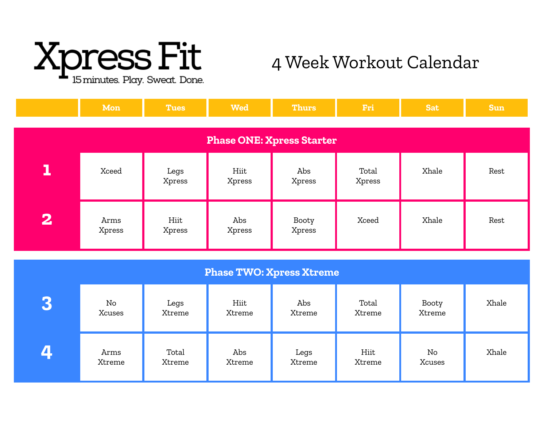

## 4 Week Workout Calendar

|                                  | Mon            | <b>Tues</b>    | <b>Wed</b>     | <b>Thurs</b>    | Fri             | <b>Sat</b> | <b>Sun</b> |  |  |
|----------------------------------|----------------|----------------|----------------|-----------------|-----------------|------------|------------|--|--|
| <b>Phase ONE: Xpress Starter</b> |                |                |                |                 |                 |            |            |  |  |
| 1                                | Xceed          | Legs<br>Xpress | Hiit<br>Xpress | Abs<br>Xpress   | Total<br>Xpress | Xhale      | Rest       |  |  |
| $\overline{\mathbf{2}}$          | Arms<br>Xpress | Hiit<br>Xpress | Abs<br>Xpress  | Booty<br>Xpress | Xceed           | Xhale      | Rest       |  |  |

| <b>Phase TWO: Xpress Xtreme</b> |                |                 |                |                |                 |                 |       |  |
|---------------------------------|----------------|-----------------|----------------|----------------|-----------------|-----------------|-------|--|
| Lo i                            | No<br>Xcuses   | Legs<br>Xtreme  | Hiit<br>Xtreme | Abs<br>Xtreme  | Total<br>Xtreme | Booty<br>Xtreme | Xhale |  |
|                                 | Arms<br>Xtreme | Total<br>Xtreme | Abs<br>Xtreme  | Legs<br>Xtreme | Hiit<br>Xtreme  | No<br>Xcuses    | Xhale |  |